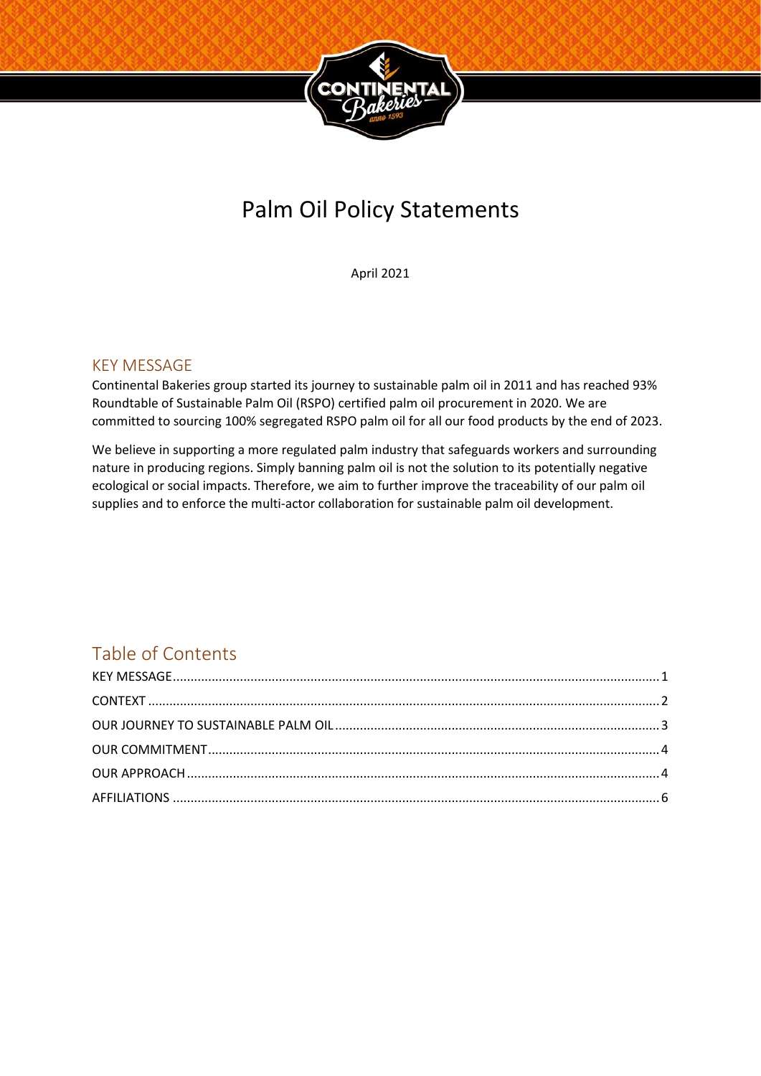

# Palm Oil Policy Statements

April 2021

## <span id="page-0-0"></span>KEY MESSAGE

Continental Bakeries group started its journey to sustainable palm oil in 2011 and has reached 93% Roundtable of Sustainable Palm Oil (RSPO) certified palm oil procurement in 2020. We are committed to sourcing 100% segregated RSPO palm oil for all our food products by the end of 2023.

We believe in supporting a more regulated palm industry that safeguards workers and surrounding nature in producing regions. Simply banning palm oil is not the solution to its potentially negative ecological or social impacts. Therefore, we aim to further improve the traceability of our palm oil supplies and to enforce the multi-actor collaboration for sustainable palm oil development.

## Table of Contents

<span id="page-0-1"></span>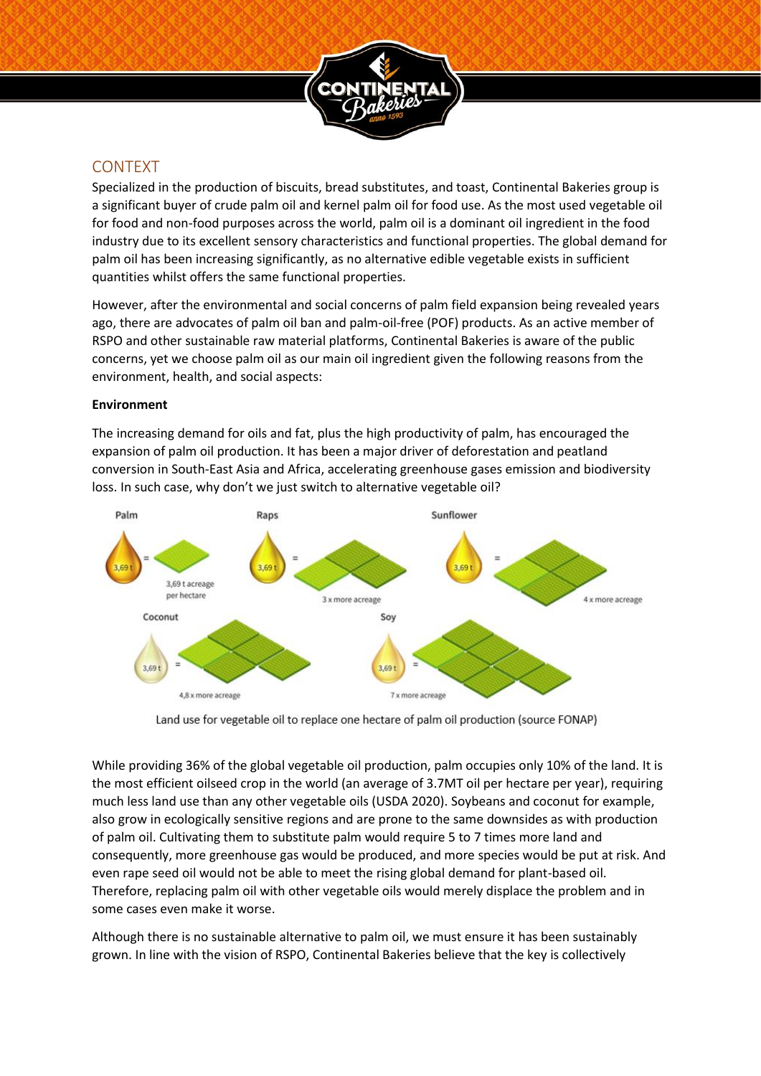

## CONTEXT

Specialized in the production of biscuits, bread substitutes, and toast, Continental Bakeries group is a significant buyer of crude palm oil and kernel palm oil for food use. As the most used vegetable oil for food and non-food purposes across the world, palm oil is a dominant oil ingredient in the food industry due to its excellent sensory characteristics and functional properties. The global demand for palm oil has been increasing significantly, as no alternative edible vegetable exists in sufficient quantities whilst offers the same functional properties.

However, after the environmental and social concerns of palm field expansion being revealed years ago, there are advocates of palm oil ban and palm-oil-free (POF) products. As an active member of RSPO and other sustainable raw material platforms, Continental Bakeries is aware of the public concerns, yet we choose palm oil as our main oil ingredient given the following reasons from the environment, health, and social aspects:

#### **Environment**

The increasing demand for oils and fat, plus the high productivity of palm, has encouraged the expansion of palm oil production. It has been a major driver of deforestation and peatland conversion in South-East Asia and Africa, accelerating greenhouse gases emission and biodiversity loss. In such case, why don't we just switch to alternative vegetable oil?



Land use for vegetable oil to replace one hectare of palm oil production (source FONAP)

While providing 36% of the global vegetable oil production, palm occupies only 10% of the land. It is the most efficient oilseed crop in the world (an average of 3.7MT oil per hectare per year), requiring much less land use than any other vegetable oils (USDA 2020). Soybeans and coconut for example, also grow in ecologically sensitive regions and are prone to the same downsides as with production of palm oil. Cultivating them to substitute palm would require 5 to 7 times more land and consequently, more greenhouse gas would be produced, and more species would be put at risk. And even rape seed oil would not be able to meet the rising global demand for plant-based oil. Therefore, replacing palm oil with other vegetable oils would merely displace the problem and in some cases even make it worse.

Although there is no sustainable alternative to palm oil, we must ensure it has been sustainably grown. In line with the vision of RSPO, Continental Bakeries believe that the key is collectively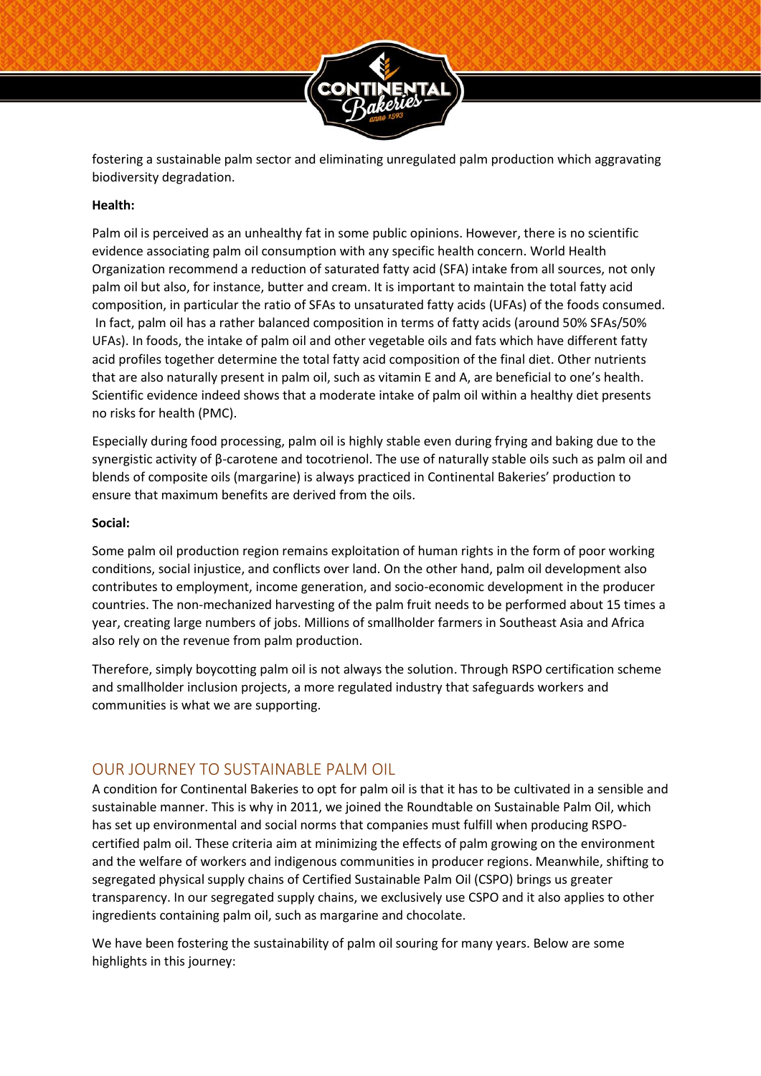

fostering a sustainable palm sector and eliminating unregulated palm production which aggravating biodiversity degradation.

#### **Health:**

Palm oil is perceived as an unhealthy fat in some public opinions. However, there is no scientific evidence associating palm oil consumption with any specific health concern. World Health Organization recommend a reduction of saturated fatty acid (SFA) intake from all sources, not only palm oil but also, for instance, butter and cream. It is important to maintain the total fatty acid composition, in particular the ratio of SFAs to unsaturated fatty acids (UFAs) of the foods consumed. In fact, palm oil has a rather balanced composition in terms of fatty acids (around 50% SFAs/50% UFAs). In foods, the intake of palm oil and other vegetable oils and fats which have different fatty acid profiles together determine the total fatty acid composition of the final diet. Other nutrients that are also naturally present in palm oil, such as vitamin E and A, are beneficial to one's health. Scientific evidence indeed shows that a moderate intake of palm oil within a healthy diet presents no risks for health (PMC).

Especially during food processing, palm oil is highly stable even during frying and baking due to the synergistic activity of β-carotene and tocotrienol. The use of naturally stable oils such as palm oil and blends of composite oils (margarine) is always practiced in Continental Bakeries' production to ensure that maximum benefits are derived from the oils.

#### **Social:**

Some palm oil production region remains exploitation of human rights in the form of poor working conditions, social injustice, and conflicts over land. On the other hand, palm oil development also contributes to employment, income generation, and socio-economic development in the producer countries. The non-mechanized harvesting of the palm fruit needs to be performed about 15 times a year, creating large numbers of jobs. Millions of smallholder farmers in Southeast Asia and Africa also rely on the revenue from palm production.

Therefore, simply boycotting palm oil is not always the solution. Through RSPO certification scheme and smallholder inclusion projects, a more regulated industry that safeguards workers and communities is what we are supporting.

## <span id="page-2-0"></span>OUR JOURNEY TO SUSTAINABLE PALM OIL

A condition for Continental Bakeries to opt for palm oil is that it has to be cultivated in a sensible and sustainable manner. This is why in 2011, we joined the Roundtable on Sustainable Palm Oil, which has set up environmental and social norms that companies must fulfill when producing RSPOcertified palm oil. These criteria aim at minimizing the effects of palm growing on the environment and the welfare of workers and indigenous communities in producer regions. Meanwhile, shifting to segregated physical supply chains of Certified Sustainable Palm Oil (CSPO) brings us greater transparency. In our segregated supply chains, we exclusively use CSPO and it also applies to other ingredients containing palm oil, such as margarine and chocolate.

We have been fostering the sustainability of palm oil souring for many years. Below are some highlights in this journey: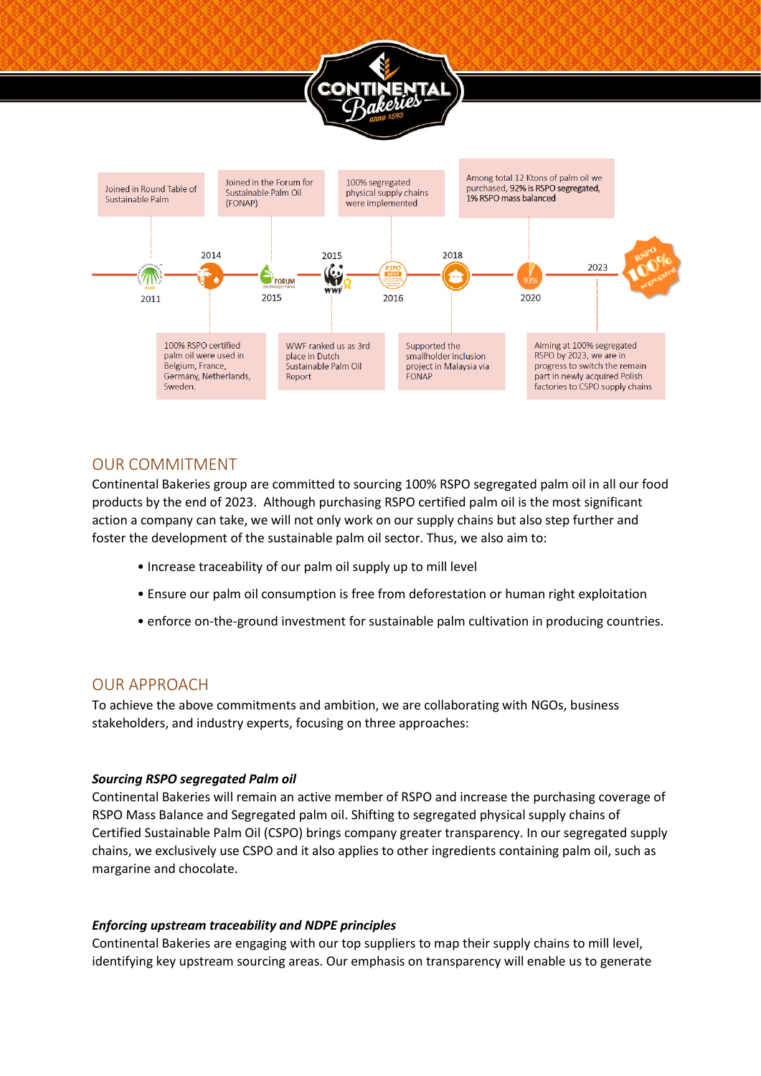



### <span id="page-3-0"></span>OUR COMMITMENT

Continental Bakeries group are committed to sourcing 100% RSPO segregated palm oil in all our food products by the end of 2023. Although purchasing RSPO certified palm oil is the most significant action a company can take, we will not only work on our supply chains but also step further and foster the development of the sustainable palm oil sector. Thus, we also aim to:

- Increase traceability of our palm oil supply up to mill level
- Ensure our palm oil consumption is free from deforestation or human right exploitation
- enforce on-the-ground investment for sustainable palm cultivation in producing countries.

#### <span id="page-3-1"></span>OUR APPROACH

To achieve the above commitments and ambition, we are collaborating with NGOs, business stakeholders, and industry experts, focusing on three approaches:

#### *Sourcing RSPO segregated Palm oil*

Continental Bakeries will remain an active member of RSPO and increase the purchasing coverage of RSPO Mass Balance and Segregated palm oil. Shifting to segregated physical supply chains of Certified Sustainable Palm Oil (CSPO) brings company greater transparency. In our segregated supply chains, we exclusively use CSPO and it also applies to other ingredients containing palm oil, such as margarine and chocolate.

#### *Enforcing upstream traceability and NDPE principles*

Continental Bakeries are engaging with our top suppliers to map their supply chains to mill level, identifying key upstream sourcing areas. Our emphasis on transparency will enable us to generate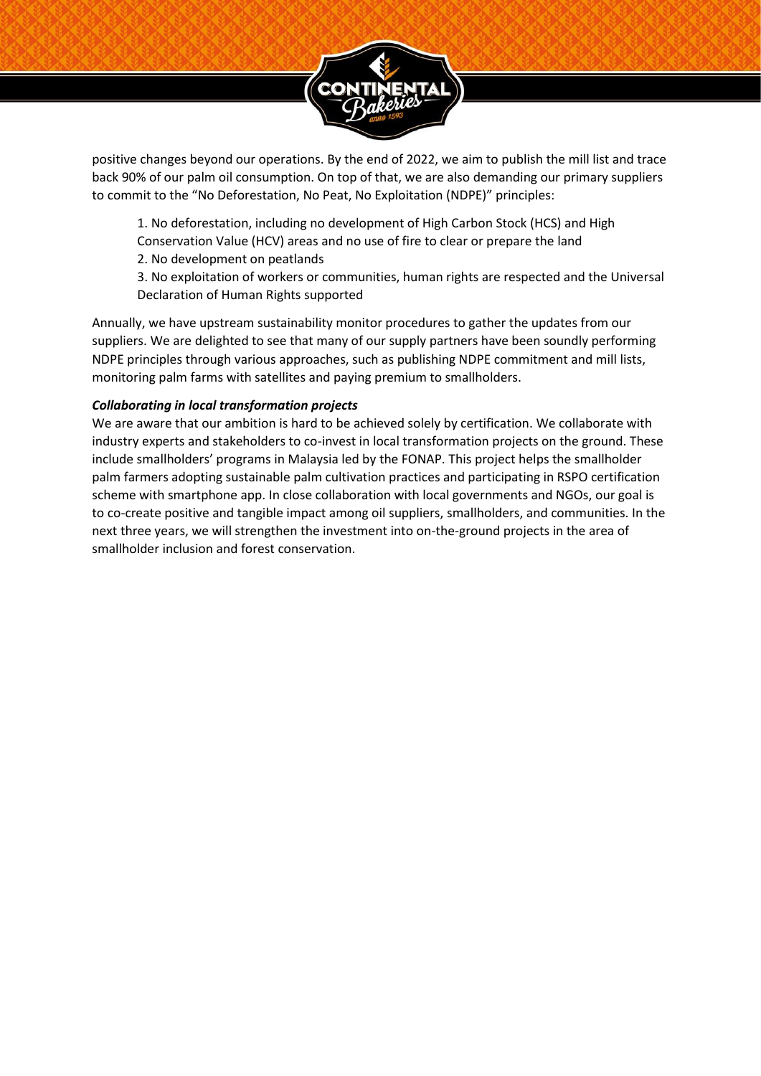

positive changes beyond our operations. By the end of 2022, we aim to publish the mill list and trace back 90% of our palm oil consumption. On top of that, we are also demanding our primary suppliers to commit to the "No Deforestation, No Peat, No Exploitation (NDPE)" principles:

1. No deforestation, including no development of High Carbon Stock (HCS) and High Conservation Value (HCV) areas and no use of fire to clear or prepare the land

2. No development on peatlands

3. No exploitation of workers or communities, human rights are respected and the Universal Declaration of Human Rights supported

Annually, we have upstream sustainability monitor procedures to gather the updates from our suppliers. We are delighted to see that many of our supply partners have been soundly performing NDPE principles through various approaches, such as publishing NDPE commitment and mill lists, monitoring palm farms with satellites and paying premium to smallholders.

#### *Collaborating in local transformation projects*

We are aware that our ambition is hard to be achieved solely by certification. We collaborate with industry experts and stakeholders to co-invest in local transformation projects on the ground. These include smallholders' programs in Malaysia led by the FONAP. This project helps the smallholder palm farmers adopting sustainable palm cultivation practices and participating in RSPO certification scheme with smartphone app. In close collaboration with local governments and NGOs, our goal is to co-create positive and tangible impact among oil suppliers, smallholders, and communities. In the next three years, we will strengthen the investment into on-the-ground projects in the area of smallholder inclusion and forest conservation.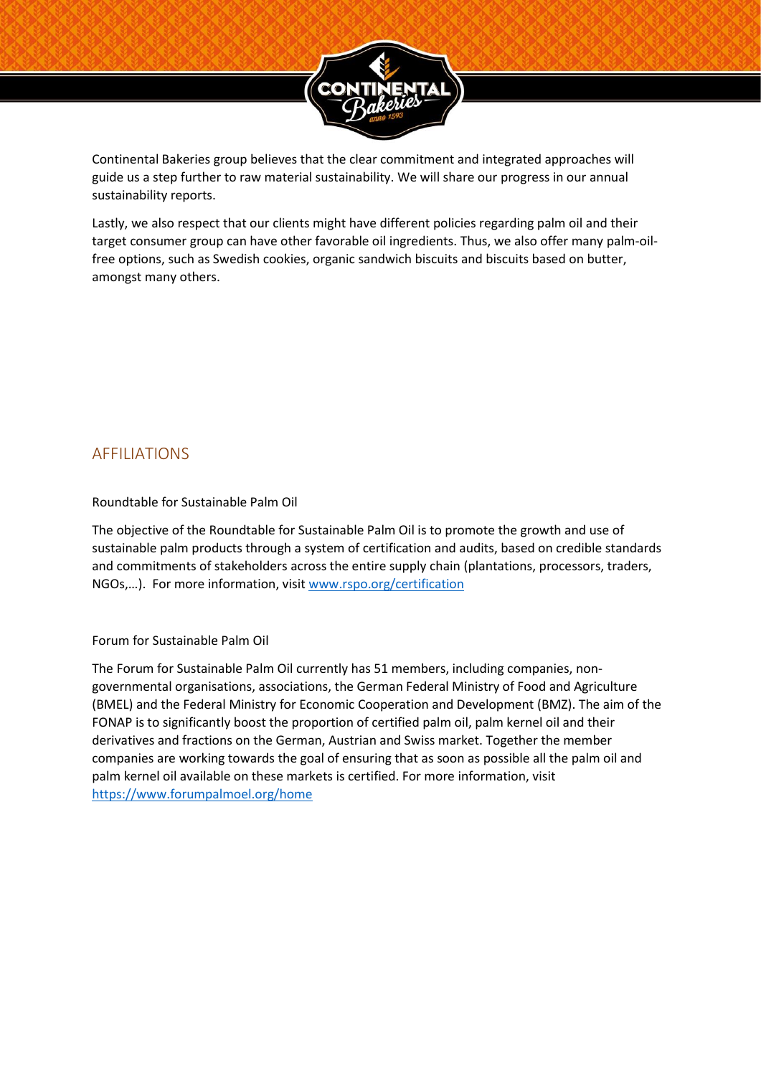

Continental Bakeries group believes that the clear commitment and integrated approaches will guide us a step further to raw material sustainability. We will share our progress in our annual sustainability reports.

Lastly, we also respect that our clients might have different policies regarding palm oil and their target consumer group can have other favorable oil ingredients. Thus, we also offer many palm-oilfree options, such as Swedish cookies, organic sandwich biscuits and biscuits based on butter, amongst many others.

## <span id="page-5-0"></span>AFFILIATIONS

#### Roundtable for Sustainable Palm Oil

The objective of the Roundtable for Sustainable Palm Oil is to promote the growth and use of sustainable palm products through a system of certification and audits, based on credible standards and commitments of stakeholders across the entire supply chain (plantations, processors, traders, NGOs,…). For more information, visit [www.rspo.org/certification](http://www.rspo.org/certification)

#### Forum for Sustainable Palm Oil

The Forum for Sustainable Palm Oil currently has 51 members, including companies, nongovernmental organisations, associations, the German Federal Ministry of Food and Agriculture (BMEL) and the Federal Ministry for Economic Cooperation and Development (BMZ). The aim of the FONAP is to significantly boost the proportion of certified palm oil, palm kernel oil and their derivatives and fractions on the German, Austrian and Swiss market. Together the member companies are working towards the goal of ensuring that as soon as possible all the palm oil and palm kernel oil available on these markets is certified. For more information, visit <https://www.forumpalmoel.org/home>